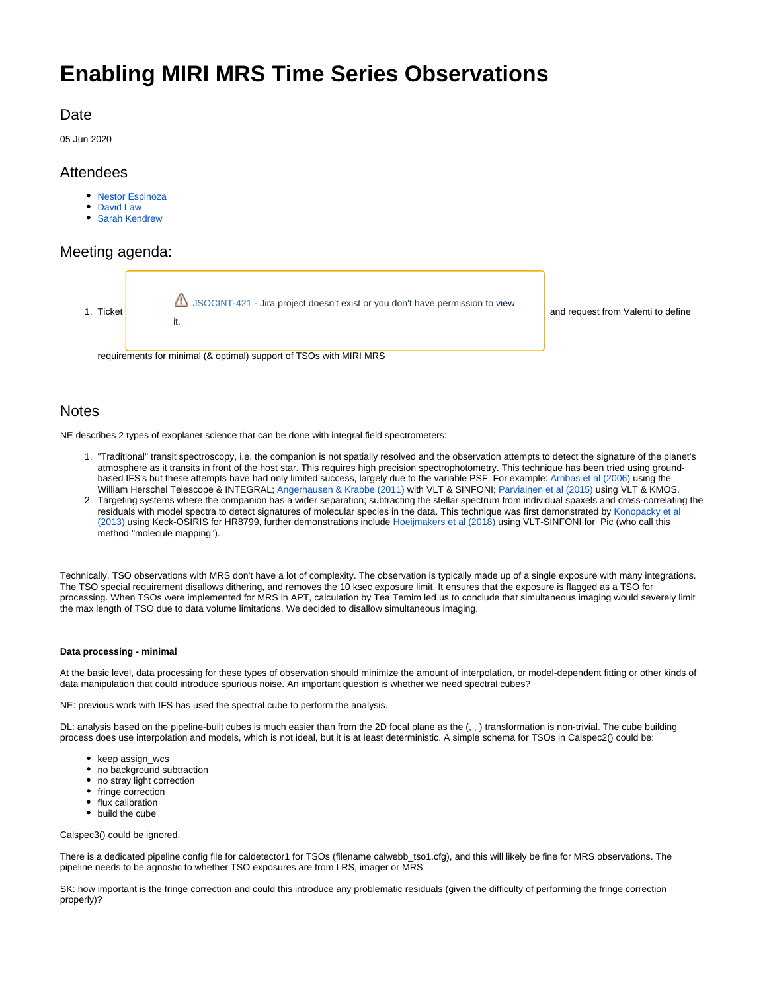# **Enabling MIRI MRS Time Series Observations**

# **Date**

05 Jun 2020

# **Attendees**

- [Nestor Espinoza](https://outerspace.stsci.edu/display/~nespinoza)
- [David Law](https://outerspace.stsci.edu/display/~dlaw)
- [Sarah Kendrew](https://outerspace.stsci.edu/display/~skendrew)

# Meeting agenda:



and request from Valenti to define

## **Notes**

NE describes 2 types of exoplanet science that can be done with integral field spectrometers:

- 1. "Traditional" transit spectroscopy, i.e. the companion is not spatially resolved and the observation attempts to detect the signature of the planet's atmosphere as it transits in front of the host star. This requires high precision spectrophotometry. This technique has been tried using groundbased IFS's but these attempts have had only limited success, largely due to the variable PSF. For example: [Arribas et al \(2006\)](https://ui.adsabs.harvard.edu/abs/2006PASP..118...21A/abstract) using the William Herschel Telescope & INTEGRAL; [Angerhausen & Krabbe \(2011\)](https://ui.adsabs.harvard.edu/abs/2011ASPC..450...55A/abstract) with VLT & SINFONI; [Parviainen et al \(2015\) u](https://arxiv.org/abs/1508.02911)sing VLT & KMOS.
- 2. Targeting systems where the companion has a wider separation; subtracting the stellar spectrum from individual spaxels and cross-correlating the residuals with model spectra to detect signatures of molecular species in the data. This technique was first demonstrated by [Konopacky et al](https://ui.adsabs.harvard.edu/abs/2013Sci...339.1398K/abstract)  [\(2013\)](https://ui.adsabs.harvard.edu/abs/2013Sci...339.1398K/abstract) using Keck-OSIRIS for HR8799, further demonstrations include [Hoeijmakers et al \(2018\)](https://ui.adsabs.harvard.edu/abs/2018A%26A...617A.144H/abstract) using VLT-SINFONI for Pic (who call this method "molecule mapping").

Technically, TSO observations with MRS don't have a lot of complexity. The observation is typically made up of a single exposure with many integrations. The TSO special requirement disallows dithering, and removes the 10 ksec exposure limit. It ensures that the exposure is flagged as a TSO for processing. When TSOs were implemented for MRS in APT, calculation by Tea Temim led us to conclude that simultaneous imaging would severely limit the max length of TSO due to data volume limitations. We decided to disallow simultaneous imaging.

### **Data processing - minimal**

At the basic level, data processing for these types of observation should minimize the amount of interpolation, or model-dependent fitting or other kinds of data manipulation that could introduce spurious noise. An important question is whether we need spectral cubes?

NE: previous work with IFS has used the spectral cube to perform the analysis.

DL: analysis based on the pipeline-built cubes is much easier than from the 2D focal plane as the (, , ) transformation is non-trivial. The cube building process does use interpolation and models, which is not ideal, but it is at least deterministic. A simple schema for TSOs in Calspec2() could be:

- keep assign\_wcs
- no background subtraction
- no stray light correction
- fringe correction
- flux calibration
- build the cube

Calspec3() could be ignored.

There is a dedicated pipeline config file for caldetector1 for TSOs (filename calwebb tso1.cfg), and this will likely be fine for MRS observations. The pipeline needs to be agnostic to whether TSO exposures are from LRS, imager or MRS.

SK: how important is the fringe correction and could this introduce any problematic residuals (given the difficulty of performing the fringe correction properly)?